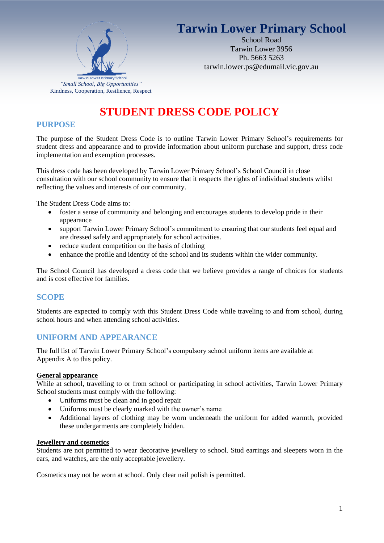# **Tarwin Lower Primary School**



School Road Tarwin Lower 3956 Ph. 5663 5263 tarwin.lower.ps@edumail.vic.gov.au

## **STUDENT DRESS CODE POLICY**

## **PURPOSE**

The purpose of the Student Dress Code is to outline Tarwin Lower Primary School's requirements for student dress and appearance and to provide information about uniform purchase and support, dress code implementation and exemption processes.

This dress code has been developed by Tarwin Lower Primary School's School Council in close consultation with our school community to ensure that it respects the rights of individual students whilst reflecting the values and interests of our community.

The Student Dress Code aims to:

- foster a sense of community and belonging and encourages students to develop pride in their appearance
- support Tarwin Lower Primary School's commitment to ensuring that our students feel equal and are dressed safely and appropriately for school activities.
- reduce student competition on the basis of clothing
- enhance the profile and identity of the school and its students within the wider community.

The School Council has developed a dress code that we believe provides a range of choices for students and is cost effective for families.

#### **SCOPE**

Students are expected to comply with this Student Dress Code while traveling to and from school, during school hours and when attending school activities.

## **UNIFORM AND APPEARANCE**

The full list of Tarwin Lower Primary School's compulsory school uniform items are available at Appendix A to this policy.

#### **General appearance**

While at school, travelling to or from school or participating in school activities, Tarwin Lower Primary School students must comply with the following:

- Uniforms must be clean and in good repair
- Uniforms must be clearly marked with the owner's name
- Additional layers of clothing may be worn underneath the uniform for added warmth, provided these undergarments are completely hidden.

#### **Jewellery and cosmetics**

Students are not permitted to wear decorative jewellery to school. Stud earrings and sleepers worn in the ears, and watches, are the only acceptable jewellery.

Cosmetics may not be worn at school. Only clear nail polish is permitted.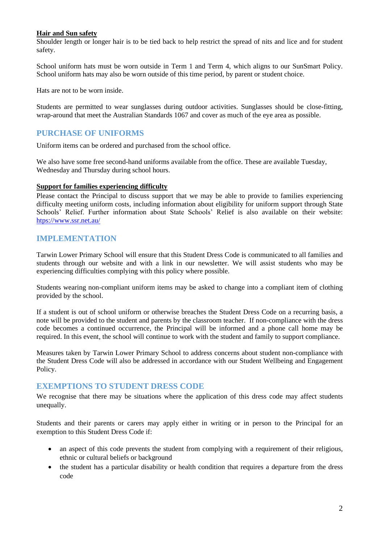#### **Hair and Sun safety**

Shoulder length or longer hair is to be tied back to help restrict the spread of nits and lice and for student safety.

School uniform hats must be worn outside in Term 1 and Term 4, which aligns to our SunSmart Policy. School uniform hats may also be worn outside of this time period, by parent or student choice.

Hats are not to be worn inside.

Students are permitted to wear sunglasses during outdoor activities. Sunglasses should be close-fitting, wrap-around that meet the Australian Standards 1067 and cover as much of the eye area as possible.

## **PURCHASE OF UNIFORMS**

Uniform items can be ordered and purchased from the school office.

We also have some free second-hand uniforms available from the office. These are available Tuesday, Wednesday and Thursday during school hours.

#### **Support for families experiencing difficulty**

Please contact the Principal to discuss support that we may be able to provide to families experiencing difficulty meeting uniform costs, including information about eligibility for uniform support through State Schools' Relief. Further information about State Schools' Relief is also available on their website: [htps://www.ssr.net.au/](https://www.ssr.net.au/)

## **IMPLEMENTATION**

Tarwin Lower Primary School will ensure that this Student Dress Code is communicated to all families and students through our website and with a link in our newsletter. We will assist students who may be experiencing difficulties complying with this policy where possible.

Students wearing non-compliant uniform items may be asked to change into a compliant item of clothing provided by the school.

If a student is out of school uniform or otherwise breaches the Student Dress Code on a recurring basis, a note will be provided to the student and parents by the classroom teacher. If non-compliance with the dress code becomes a continued occurrence, the Principal will be informed and a phone call home may be required. In this event, the school will continue to work with the student and family to support compliance.

Measures taken by Tarwin Lower Primary School to address concerns about student non-compliance with the Student Dress Code will also be addressed in accordance with our Student Wellbeing and Engagement Policy.

#### **EXEMPTIONS TO STUDENT DRESS CODE**

We recognise that there may be situations where the application of this dress code may affect students unequally.

Students and their parents or carers may apply either in writing or in person to the Principal for an exemption to this Student Dress Code if:

- an aspect of this code prevents the student from complying with a requirement of their religious, ethnic or cultural beliefs or background
- the student has a particular disability or health condition that requires a departure from the dress code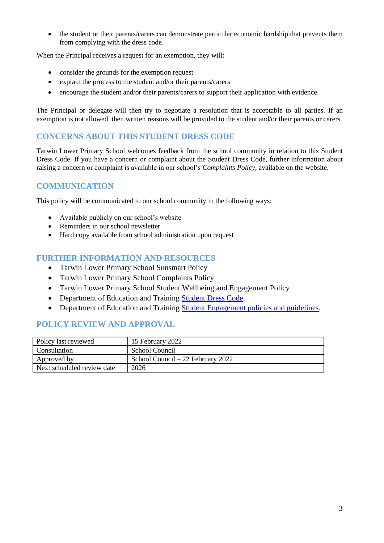• the student or their parents/carers can demonstrate particular economic hardship that prevents them from complying with the dress code.

When the Principal receives a request for an exemption, they will:

- consider the grounds for the exemption request
- explain the process to the student and/or their parents/carers
- encourage the student and/or their parents/carers to support their application with evidence.

The Principal or delegate will then try to negotiate a resolution that is acceptable to all parties. If an exemption is not allowed, then written reasons will be provided to the student and/or their parents or carers.

#### **CONCERNS ABOUT THIS STUDENT DRESS CODE**

Tarwin Lower Primary School welcomes feedback from the school community in relation to this Student Dress Code. If you have a concern or complaint about the Student Dress Code, further information about raising a concern or complaint is available in our school's *Complaints Policy*, available on the website.

## **COMMUNICATION**

This policy will be communicated to our school community in the following ways:

- Available publicly on our school's website
- Reminders in our school newsletter
- Hard copy available from school administration upon request

## **FURTHER INFORMATION AND RESOURCES**

- Tarwin Lower Primary School Sunsmart Policy
- Tarwin Lower Primary School Complaints Policy
- Tarwin Lower Primary School Student Wellbeing and Engagement Policy
- Department of Education and Training [Student Dress Code](https://www2.education.vic.gov.au/pal/student-dress-code/policy)
- Department of Education and Training [Student Engagement policies and guidelines.](https://www2.education.vic.gov.au/pal/student-engagement/policy)

#### **POLICY REVIEW AND APPROVAL**

| Policy last reviewed       | 15 February 2022                  |
|----------------------------|-----------------------------------|
| Consultation               | School Council                    |
| Approved by                | School Council – 22 February 2022 |
| Next scheduled review date | 2026                              |